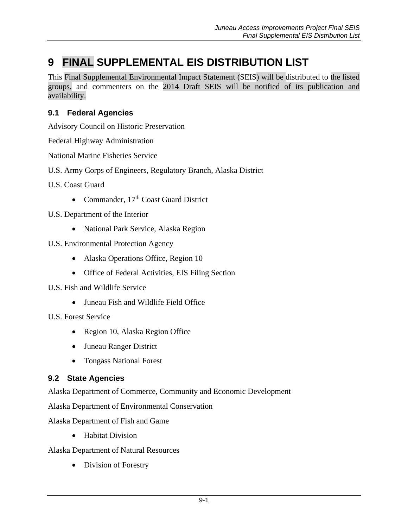# **9 FINAL SUPPLEMENTAL EIS DISTRIBUTION LIST**

This Final Supplemental Environmental Impact Statement (SEIS) will be distributed to the listed groups, and commenters on the 2014 Draft SEIS will be notified of its publication and availability.

# **9.1 Federal Agencies**

Advisory Council on Historic Preservation

Federal Highway Administration

National Marine Fisheries Service

U.S. Army Corps of Engineers, Regulatory Branch, Alaska District

U.S. Coast Guard

- Commander, 17<sup>th</sup> Coast Guard District
- U.S. Department of the Interior
	- National Park Service, Alaska Region
- U.S. Environmental Protection Agency
	- Alaska Operations Office, Region 10
	- Office of Federal Activities, EIS Filing Section
- U.S. Fish and Wildlife Service
	- Juneau Fish and Wildlife Field Office

U.S. Forest Service

- Region 10, Alaska Region Office
- Juneau Ranger District
- Tongass National Forest

### **9.2 State Agencies**

Alaska Department of Commerce, Community and Economic Development

Alaska Department of Environmental Conservation

Alaska Department of Fish and Game

• Habitat Division

Alaska Department of Natural Resources

• Division of Forestry